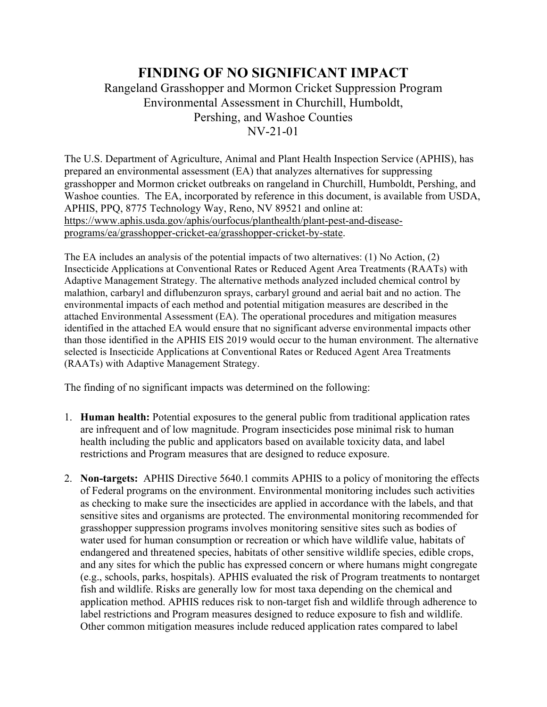## **FINDING OF NO SIGNIFICANT IMPACT** Rangeland Grasshopper and Mormon Cricket Suppression Program Environmental Assessment in Churchill, Humboldt, Pershing, and Washoe Counties

NV-21-01

The U.S. Department of Agriculture, Animal and Plant Health Inspection Service (APHIS), has prepared an environmental assessment (EA) that analyzes alternatives for suppressing grasshopper and Mormon cricket outbreaks on rangeland in Churchill, Humboldt, Pershing, and Washoe counties. The EA, incorporated by reference in this document, is available from USDA, APHIS, PPQ, 8775 Technology Way, Reno, NV 89521 and online at: [https://www.aphis.usda.gov/aphis/ourfocus/planthealth/plant-pest-and-disease](https://www.aphis.usda.gov/aphis/ourfocus/planthealth/plant-pest-and-disease-programs/ea/grasshopper-cricket-ea/grasshopper-cricket-by-state)[programs/ea/grasshopper-cricket-ea/grasshopper-cricket-by-state.](https://www.aphis.usda.gov/aphis/ourfocus/planthealth/plant-pest-and-disease-programs/ea/grasshopper-cricket-ea/grasshopper-cricket-by-state)

The EA includes an analysis of the potential impacts of two alternatives: (1) No Action, (2) Insecticide Applications at Conventional Rates or Reduced Agent Area Treatments (RAATs) with Adaptive Management Strategy. The alternative methods analyzed included chemical control by malathion, carbaryl and diflubenzuron sprays, carbaryl ground and aerial bait and no action. The environmental impacts of each method and potential mitigation measures are described in the attached Environmental Assessment (EA). The operational procedures and mitigation measures identified in the attached EA would ensure that no significant adverse environmental impacts other than those identified in the APHIS EIS 2019 would occur to the human environment. The alternative selected is Insecticide Applications at Conventional Rates or Reduced Agent Area Treatments (RAATs) with Adaptive Management Strategy.

The finding of no significant impacts was determined on the following:

- 1. **Human health:** Potential exposures to the general public from traditional application rates are infrequent and of low magnitude. Program insecticides pose minimal risk to human health including the public and applicators based on available toxicity data, and label restrictions and Program measures that are designed to reduce exposure.
- 2. **Non-targets:** APHIS Directive 5640.1 commits APHIS to a policy of monitoring the effects of Federal programs on the environment. Environmental monitoring includes such activities as checking to make sure the insecticides are applied in accordance with the labels, and that sensitive sites and organisms are protected. The environmental monitoring recommended for grasshopper suppression programs involves monitoring sensitive sites such as bodies of water used for human consumption or recreation or which have wildlife value, habitats of endangered and threatened species, habitats of other sensitive wildlife species, edible crops, and any sites for which the public has expressed concern or where humans might congregate (e.g., schools, parks, hospitals). APHIS evaluated the risk of Program treatments to nontarget fish and wildlife. Risks are generally low for most taxa depending on the chemical and application method. APHIS reduces risk to non-target fish and wildlife through adherence to label restrictions and Program measures designed to reduce exposure to fish and wildlife. Other common mitigation measures include reduced application rates compared to label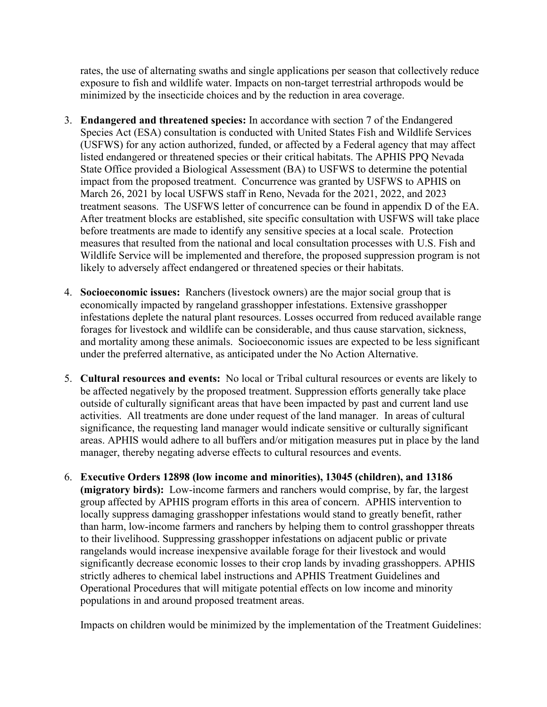rates, the use of alternating swaths and single applications per season that collectively reduce exposure to fish and wildlife water. Impacts on non-target terrestrial arthropods would be minimized by the insecticide choices and by the reduction in area coverage.

- 3. **Endangered and threatened species:** In accordance with section 7 of the Endangered Species Act (ESA) consultation is conducted with United States Fish and Wildlife Services (USFWS) for any action authorized, funded, or affected by a Federal agency that may affect listed endangered or threatened species or their critical habitats. The APHIS PPQ Nevada State Office provided a Biological Assessment (BA) to USFWS to determine the potential impact from the proposed treatment. Concurrence was granted by USFWS to APHIS on March 26, 2021 by local USFWS staff in Reno, Nevada for the 2021, 2022, and 2023 treatment seasons. The USFWS letter of concurrence can be found in appendix D of the EA. After treatment blocks are established, site specific consultation with USFWS will take place before treatments are made to identify any sensitive species at a local scale. Protection measures that resulted from the national and local consultation processes with U.S. Fish and Wildlife Service will be implemented and therefore, the proposed suppression program is not likely to adversely affect endangered or threatened species or their habitats.
- 4. **Socioeconomic issues:** Ranchers (livestock owners) are the major social group that is economically impacted by rangeland grasshopper infestations. Extensive grasshopper infestations deplete the natural plant resources. Losses occurred from reduced available range forages for livestock and wildlife can be considerable, and thus cause starvation, sickness, and mortality among these animals. Socioeconomic issues are expected to be less significant under the preferred alternative, as anticipated under the No Action Alternative.
- 5. **Cultural resources and events:** No local or Tribal cultural resources or events are likely to be affected negatively by the proposed treatment. Suppression efforts generally take place outside of culturally significant areas that have been impacted by past and current land use activities. All treatments are done under request of the land manager. In areas of cultural significance, the requesting land manager would indicate sensitive or culturally significant areas. APHIS would adhere to all buffers and/or mitigation measures put in place by the land manager, thereby negating adverse effects to cultural resources and events.
- 6. **Executive Orders 12898 (low income and minorities), 13045 (children), and 13186 (migratory birds):** Low-income farmers and ranchers would comprise, by far, the largest group affected by APHIS program efforts in this area of concern. APHIS intervention to locally suppress damaging grasshopper infestations would stand to greatly benefit, rather than harm, low-income farmers and ranchers by helping them to control grasshopper threats to their livelihood. Suppressing grasshopper infestations on adjacent public or private rangelands would increase inexpensive available forage for their livestock and would significantly decrease economic losses to their crop lands by invading grasshoppers. APHIS strictly adheres to chemical label instructions and APHIS Treatment Guidelines and Operational Procedures that will mitigate potential effects on low income and minority populations in and around proposed treatment areas.

Impacts on children would be minimized by the implementation of the Treatment Guidelines: